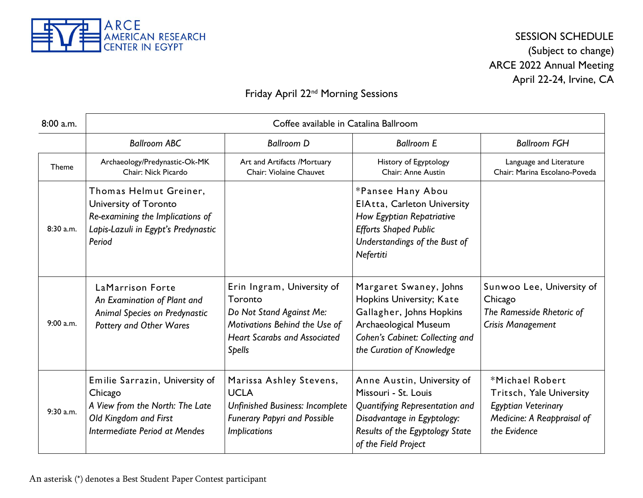

#### SESSION SCHEDULE (Subject to change) ARCE 2022 Annual Meeting April 22-24, Irvine, CA

#### Friday April 22<sup>nd</sup> Morning Sessions

| $8:00$ a.m. |                                                                                                                                        | Coffee available in Catalina Ballroom                                                                                                                      |                                                                                                                                                                                |                                                                                                                  |
|-------------|----------------------------------------------------------------------------------------------------------------------------------------|------------------------------------------------------------------------------------------------------------------------------------------------------------|--------------------------------------------------------------------------------------------------------------------------------------------------------------------------------|------------------------------------------------------------------------------------------------------------------|
|             | <b>Ballroom ABC</b>                                                                                                                    | <b>Ballroom D</b>                                                                                                                                          | <b>Ballroom E</b>                                                                                                                                                              | <b>Ballroom FGH</b>                                                                                              |
| Theme       | Archaeology/Predynastic-Ok-MK<br>Chair: Nick Picardo                                                                                   | Art and Artifacts /Mortuary<br>Chair: Violaine Chauvet                                                                                                     | History of Egyptology<br>Chair: Anne Austin                                                                                                                                    | Language and Literature<br>Chair: Marina Escolano-Poveda                                                         |
| 8:30 a.m.   | Thomas Helmut Greiner,<br>University of Toronto<br>Re-examining the Implications of<br>Lapis-Lazuli in Egypt's Predynastic<br>Period   |                                                                                                                                                            | *Pansee Hany Abou<br>ElAtta, Carleton University<br>How Egyptian Repatriative<br><b>Efforts Shaped Public</b><br>Understandings of the Bust of<br>Nefertiti                    |                                                                                                                  |
| 9:00 a.m.   | LaMarrison Forte<br>An Examination of Plant and<br><b>Animal Species on Predynastic</b><br><b>Pottery and Other Wares</b>              | Erin Ingram, University of<br>Toronto<br>Do Not Stand Against Me:<br>Motivations Behind the Use of<br><b>Heart Scarabs and Associated</b><br><b>Spells</b> | Margaret Swaney, Johns<br>Hopkins University; Kate<br>Gallagher, Johns Hopkins<br><b>Archaeological Museum</b><br>Cohen's Cabinet: Collecting and<br>the Curation of Knowledge | Sunwoo Lee, University of<br>Chicago<br>The Ramesside Rhetoric of<br>Crisis Management                           |
| 9:30 a.m.   | Emilie Sarrazin, University of<br>Chicago<br>A View from the North: The Late<br>Old Kingdom and First<br>Intermediate Period at Mendes | Marissa Ashley Stevens,<br><b>UCLA</b><br><b>Unfinished Business: Incomplete</b><br><b>Funerary Papyri and Possible</b><br><i>Implications</i>             | Anne Austin, University of<br>Missouri - St. Louis<br>Quantifying Representation and<br>Disadvantage in Egyptology:<br>Results of the Egyptology State<br>of the Field Project | *Michael Robert<br>Tritsch, Yale University<br>Egyptian Veterinary<br>Medicine: A Reappraisal of<br>the Evidence |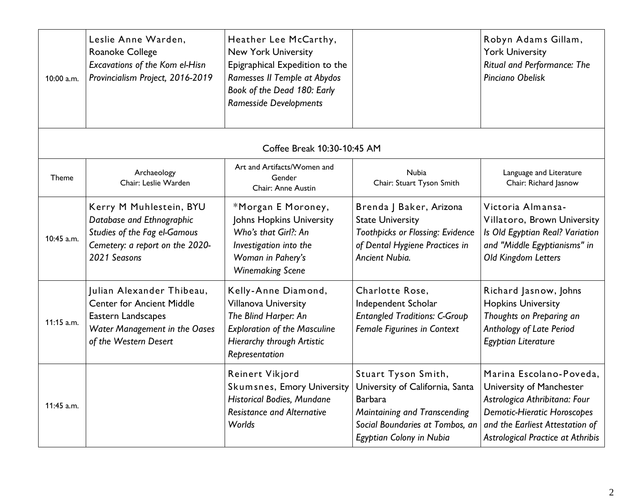| 10:00 a.m.   | Leslie Anne Warden,<br>Roanoke College<br>Excavations of the Kom el-Hisn<br>Provincialism Project, 2016-2019                                  | Heather Lee McCarthy,<br><b>New York University</b><br>Epigraphical Expedition to the<br>Ramesses II Temple at Abydos<br>Book of the Dead 180: Early<br><b>Ramesside Developments</b> |                                                                                                                                                                         | Robyn Adams Gillam,<br><b>York University</b><br>Ritual and Performance: The<br>Pinciano Obelisk                                                                                                          |
|--------------|-----------------------------------------------------------------------------------------------------------------------------------------------|---------------------------------------------------------------------------------------------------------------------------------------------------------------------------------------|-------------------------------------------------------------------------------------------------------------------------------------------------------------------------|-----------------------------------------------------------------------------------------------------------------------------------------------------------------------------------------------------------|
|              |                                                                                                                                               | Coffee Break 10:30-10:45 AM                                                                                                                                                           |                                                                                                                                                                         |                                                                                                                                                                                                           |
| Theme        | Archaeology<br>Chair: Leslie Warden                                                                                                           | Art and Artifacts/Women and<br>Gender<br>Chair: Anne Austin                                                                                                                           | <b>Nubia</b><br>Chair: Stuart Tyson Smith                                                                                                                               | Language and Literature<br>Chair: Richard Jasnow                                                                                                                                                          |
| 10:45 a.m.   | Kerry M Muhlestein, BYU<br>Database and Ethnographic<br>Studies of the Fag el-Gamous<br>Cemetery: a report on the 2020-<br>2021 Seasons       | *Morgan E Moroney,<br>Johns Hopkins University<br>Who's that Girl?: An<br>Investigation into the<br>Woman in Pahery's<br><b>Winemaking Scene</b>                                      | Brenda J Baker, Arizona<br><b>State University</b><br>Toothpicks or Flossing: Evidence<br>of Dental Hygiene Practices in<br>Ancient Nubia.                              | Victoria Almansa-<br>Villatoro, Brown University<br>Is Old Egyptian Real? Variation<br>and "Middle Egyptianisms" in<br>Old Kingdom Letters                                                                |
| 11:15 a.m.   | Julian Alexander Thibeau,<br><b>Center for Ancient Middle</b><br>Eastern Landscapes<br>Water Management in the Oases<br>of the Western Desert | Kelly-Anne Diamond,<br>Villanova University<br>The Blind Harper: An<br><b>Exploration of the Masculine</b><br>Hierarchy through Artistic<br>Representation                            | Charlotte Rose,<br>Independent Scholar<br><b>Entangled Traditions: C-Group</b><br>Female Figurines in Context                                                           | Richard Jasnow, Johns<br><b>Hopkins University</b><br>Thoughts on Preparing an<br>Anthology of Late Period<br>Egyptian Literature                                                                         |
| $11:45$ a.m. |                                                                                                                                               | Reinert Vikjord<br>Skumsnes, Emory University<br><b>Historical Bodies, Mundane</b><br><b>Resistance and Alternative</b><br>Worlds                                                     | Stuart Tyson Smith,<br>University of California, Santa<br><b>Barbara</b><br>Maintaining and Transcending<br>Social Boundaries at Tombos, an<br>Egyptian Colony in Nubia | Marina Escolano-Poveda,<br>University of Manchester<br>Astrologica Athribitana: Four<br><b>Demotic-Hieratic Horoscopes</b><br>and the Earliest Attestation of<br><b>Astrological Practice at Athribis</b> |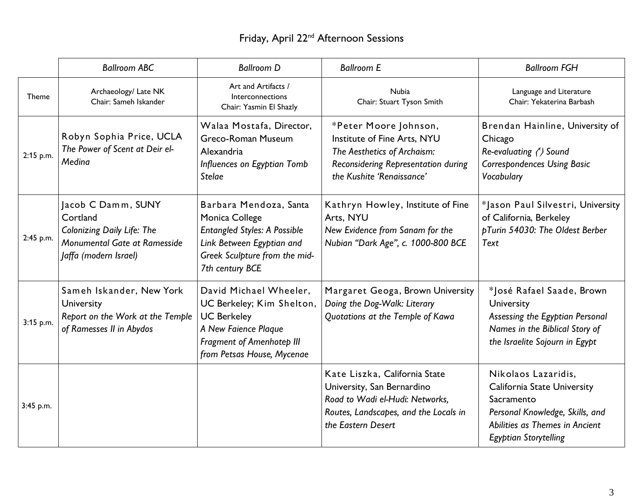# Friday, April 22nd Afternoon Sessions

|           | <b>Ballroom ABC</b>                                                                                                          | <b>Ballroom D</b>                                                                                                                                                   | <b>Ballroom E</b>                                                                                                                                             | <b>Ballroom FGH</b>                                                                                                                                                          |
|-----------|------------------------------------------------------------------------------------------------------------------------------|---------------------------------------------------------------------------------------------------------------------------------------------------------------------|---------------------------------------------------------------------------------------------------------------------------------------------------------------|------------------------------------------------------------------------------------------------------------------------------------------------------------------------------|
| Theme     | Archaeology/ Late NK<br>Chair: Sameh Iskander                                                                                | Art and Artifacts /<br>Interconnections<br>Chair: Yasmin El Shazly                                                                                                  | <b>Nubia</b><br>Chair: Stuart Tyson Smith                                                                                                                     | Language and Literature<br>Chair: Yekaterina Barbash                                                                                                                         |
| 2:15 p.m. | Robyn Sophia Price, UCLA<br>The Power of Scent at Deir el-<br>Medina                                                         | Walaa Mostafa, Director,<br>Greco-Roman Museum<br>Alexandria<br>Influences on Egyptian Tomb<br><b>Stelae</b>                                                        | *Peter Moore Johnson,<br>Institute of Fine Arts, NYU<br>The Aesthetics of Archaism:<br>Reconsidering Representation during<br>the Kushite 'Renaissance'       | Brendan Hainline, University of<br>Chicago<br>Re-evaluating (') Sound<br><b>Correspondences Using Basic</b><br>Vocabulary                                                    |
| 2:45 p.m. | Jacob C Damm, SUNY<br>Cortland<br><b>Colonizing Daily Life: The</b><br>Monumental Gate at Ramesside<br>Jaffa (modern Israel) | Barbara Mendoza, Santa<br>Monica College<br><b>Entangled Styles: A Possible</b><br>Link Between Egyptian and<br>Greek Sculpture from the mid-<br>7th century BCE    | Kathryn Howley, Institute of Fine<br>Arts, NYU<br>New Evidence from Sanam for the<br>Nubian "Dark Age", c. 1000-800 BCE                                       | *Jason Paul Silvestri, University<br>of California, Berkeley<br>pTurin 54030: The Oldest Berber<br>Text                                                                      |
| 3:15 p.m. | Sameh Iskander, New York<br>University<br>Report on the Work at the Temple<br>of Ramesses II in Abydos                       | David Michael Wheeler,<br>UC Berkeley; Kim Shelton,<br><b>UC Berkeley</b><br>A New Faience Plaque<br><b>Fragment of Amenhotep III</b><br>from Petsas House, Mycenae | Margaret Geoga, Brown University<br>Doing the Dog-Walk: Literary<br>Quotations at the Temple of Kawa                                                          | *José Rafael Saade, Brown<br>University<br>Assessing the Egyptian Personal<br>Names in the Biblical Story of<br>the Israelite Sojourn in Egypt                               |
| 3:45 p.m. |                                                                                                                              |                                                                                                                                                                     | Kate Liszka, California State<br>University, San Bernardino<br>Road to Wadi el-Hudi: Networks,<br>Routes, Landscapes, and the Locals in<br>the Eastern Desert | Nikolaos Lazaridis,<br><b>California State University</b><br>Sacramento<br>Personal Knowledge, Skills, and<br>Abilities as Themes in Ancient<br><b>Egyptian Storytelling</b> |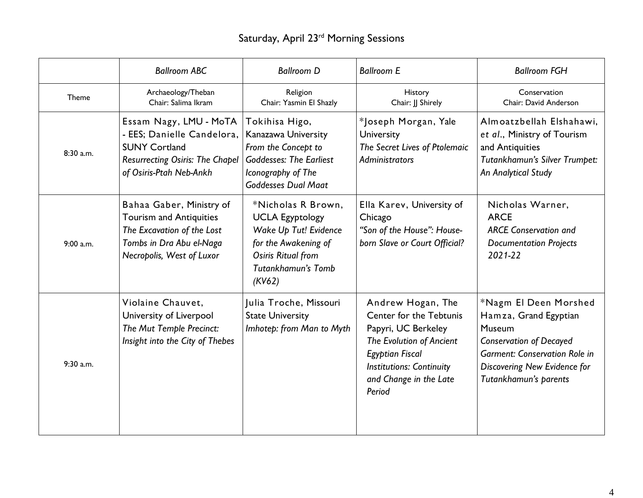# Saturday, April 23<sup>rd</sup> Morning Sessions

|           | <b>Ballroom ABC</b>                                                                                                                               | <b>Ballroom D</b>                                                                                                                                   | <b>Ballroom E</b>                                                                                                                                                                                | <b>Ballroom FGH</b>                                                                                                                                                                         |
|-----------|---------------------------------------------------------------------------------------------------------------------------------------------------|-----------------------------------------------------------------------------------------------------------------------------------------------------|--------------------------------------------------------------------------------------------------------------------------------------------------------------------------------------------------|---------------------------------------------------------------------------------------------------------------------------------------------------------------------------------------------|
| Theme     | Archaeology/Theban<br>Chair: Salima Ikram                                                                                                         | Religion<br>Chair: Yasmin El Shazly                                                                                                                 | History<br>Chair: JJ Shirely                                                                                                                                                                     | Conservation<br>Chair: David Anderson                                                                                                                                                       |
| 8:30 a.m. | Essam Nagy, LMU - MoTA<br>- EES; Danielle Candelora,<br><b>SUNY Cortland</b><br><b>Resurrecting Osiris: The Chapel</b><br>of Osiris-Ptah Neb-Ankh | Tokihisa Higo,<br>Kanazawa University<br>From the Concept to<br><b>Goddesses: The Earliest</b><br>Iconography of The<br><b>Goddesses Dual Maat</b>  | *Joseph Morgan, Yale<br>University<br>The Secret Lives of Ptolemaic<br><b>Administrators</b>                                                                                                     | Almoatzbellah Elshahawi,<br>et al., Ministry of Tourism<br>and Antiquities<br>Tutankhamun's Silver Trumpet:<br>An Analytical Study                                                          |
| 9:00 a.m. | Bahaa Gaber, Ministry of<br><b>Tourism and Antiquities</b><br>The Excavation of the Lost<br>Tombs in Dra Abu el-Naga<br>Necropolis, West of Luxor | *Nicholas R Brown,<br><b>UCLA Egyptology</b><br>Wake Up Tut! Evidence<br>for the Awakening of<br>Osiris Ritual from<br>Tutankhamun's Tomb<br>(KV62) | Ella Karev, University of<br>Chicago<br>"Son of the House": House-<br>born Slave or Court Official?                                                                                              | Nicholas Warner,<br><b>ARCE</b><br><b>ARCE Conservation and</b><br><b>Documentation Projects</b><br>$2021 - 22$                                                                             |
| 9:30 a.m. | Violaine Chauvet,<br>University of Liverpool<br>The Mut Temple Precinct:<br>Insight into the City of Thebes                                       | Julia Troche, Missouri<br><b>State University</b><br>Imhotep: from Man to Myth                                                                      | Andrew Hogan, The<br>Center for the Tebtunis<br>Papyri, UC Berkeley<br>The Evolution of Ancient<br><b>Egyptian Fiscal</b><br><b>Institutions: Continuity</b><br>and Change in the Late<br>Period | *Nagm El Deen Morshed<br>Hamza, Grand Egyptian<br>Museum<br><b>Conservation of Decayed</b><br><b>Garment: Conservation Role in</b><br>Discovering New Evidence for<br>Tutankhamun's parents |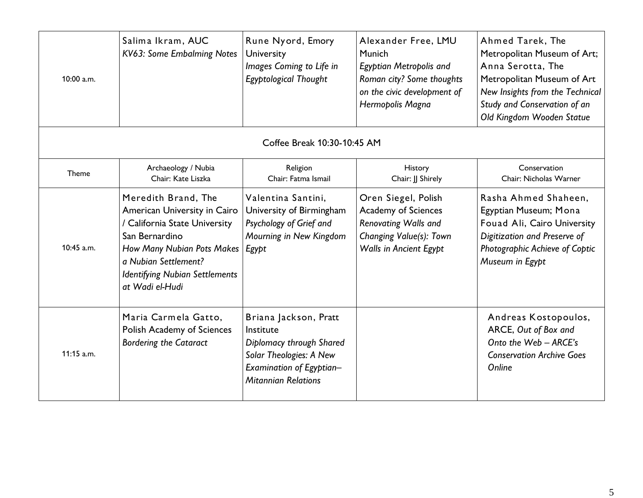| 10:00 a.m. | Salima Ikram, AUC<br>KV63: Some Embalming Notes                                                                                                                                                                          | Rune Nyord, Emory<br>University<br>Images Coming to Life in<br>Egyptological Thought                                                                | Alexander Free, LMU<br>Munich<br>Egyptian Metropolis and<br>Roman city? Some thoughts<br>on the civic development of<br>Hermopolis Magna | Ahmed Tarek, The<br>Metropolitan Museum of Art;<br>Anna Serotta, The<br>Metropolitan Museum of Art<br>New Insights from the Technical<br>Study and Conservation of an<br>Old Kingdom Wooden Statue |
|------------|--------------------------------------------------------------------------------------------------------------------------------------------------------------------------------------------------------------------------|-----------------------------------------------------------------------------------------------------------------------------------------------------|------------------------------------------------------------------------------------------------------------------------------------------|----------------------------------------------------------------------------------------------------------------------------------------------------------------------------------------------------|
|            |                                                                                                                                                                                                                          | Coffee Break 10:30-10:45 AM                                                                                                                         |                                                                                                                                          |                                                                                                                                                                                                    |
| Theme      | Archaeology / Nubia<br>Chair: Kate Liszka                                                                                                                                                                                | Religion<br>Chair: Fatma Ismail                                                                                                                     | History<br>Chair: JJ Shirely                                                                                                             | Conservation<br>Chair: Nicholas Warner                                                                                                                                                             |
| 10:45 a.m. | Meredith Brand, The<br>American University in Cairo<br>/ California State University<br>San Bernardino<br>How Many Nubian Pots Makes<br>a Nubian Settlement?<br><b>Identifying Nubian Settlements</b><br>at Wadi el-Hudi | Valentina Santini,<br>University of Birmingham<br>Psychology of Grief and<br>Mourning in New Kingdom<br>Egypt                                       | Oren Siegel, Polish<br><b>Academy of Sciences</b><br>Renovating Walls and<br>Changing Value(s): Town<br><b>Walls in Ancient Egypt</b>    | Rasha Ahmed Shaheen,<br>Egyptian Museum; Mona<br>Fouad Ali, Cairo University<br>Digitization and Preserve of<br>Photographic Achieve of Coptic<br>Museum in Egypt                                  |
| 11:15 a.m. | Maria Carmela Gatto,<br><b>Polish Academy of Sciences</b><br><b>Bordering the Cataract</b>                                                                                                                               | Briana Jackson, Pratt<br>Institute<br>Diplomacy through Shared<br>Solar Theologies: A New<br>Examination of Egyptian-<br><b>Mitannian Relations</b> |                                                                                                                                          | Andreas Kostopoulos,<br>ARCE, Out of Box and<br>Onto the Web - ARCE's<br><b>Conservation Archive Goes</b><br>Online                                                                                |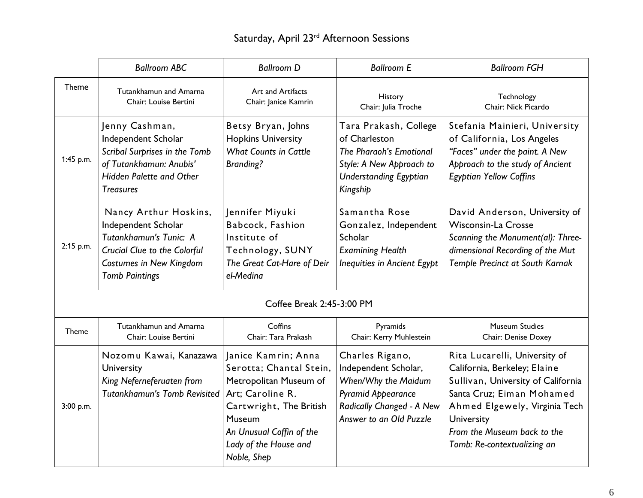# Saturday, April 23<sup>rd</sup> Afternoon Sessions

|              | <b>Ballroom ABC</b>                                                                                                                                        | <b>Ballroom D</b>                                                                                                                                                                                     | <b>Ballroom E</b>                                                                                                                                   | <b>Ballroom FGH</b>                                                                                                                                                                                                                           |
|--------------|------------------------------------------------------------------------------------------------------------------------------------------------------------|-------------------------------------------------------------------------------------------------------------------------------------------------------------------------------------------------------|-----------------------------------------------------------------------------------------------------------------------------------------------------|-----------------------------------------------------------------------------------------------------------------------------------------------------------------------------------------------------------------------------------------------|
| <b>Theme</b> | Tutankhamun and Amarna<br>Chair: Louise Bertini                                                                                                            | Art and Artifacts<br>Chair: Janice Kamrin                                                                                                                                                             | History<br>Chair: Julia Troche                                                                                                                      | Technology<br>Chair: Nick Picardo                                                                                                                                                                                                             |
| 1:45 p.m.    | Jenny Cashman,<br>Independent Scholar<br>Scribal Surprises in the Tomb<br>of Tutankhamun: Anubis'<br>Hidden Palette and Other<br><b>Treasures</b>          | Betsy Bryan, Johns<br><b>Hopkins University</b><br><b>What Counts in Cattle</b><br><b>Branding?</b>                                                                                                   | Tara Prakash, College<br>of Charleston<br>The Pharaoh's Emotional<br>Style: A New Approach to<br><b>Understanding Egyptian</b><br>Kingship          | Stefania Mainieri, University<br>of California, Los Angeles<br>"Faces" under the paint. A New<br>Approach to the study of Ancient<br><b>Egyptian Yellow Coffins</b>                                                                           |
| 2:15 p.m.    | Nancy Arthur Hoskins,<br>Independent Scholar<br>Tutankhamun's Tunic: A<br>Crucial Clue to the Colorful<br>Costumes in New Kingdom<br><b>Tomb Paintings</b> | Jennifer Miyuki<br>Babcock, Fashion<br>Institute of<br>Technology, SUNY<br>The Great Cat-Hare of Deir<br>el-Medina                                                                                    | Samantha Rose<br>Gonzalez, Independent<br>Scholar<br><b>Examining Health</b><br><b>Inequities in Ancient Egypt</b>                                  | David Anderson, University of<br><b>Wisconsin-La Crosse</b><br>Scanning the Monument(al): Three-<br>dimensional Recording of the Mut<br>Temple Precinct at South Karnak                                                                       |
|              |                                                                                                                                                            | Coffee Break 2:45-3:00 PM                                                                                                                                                                             |                                                                                                                                                     |                                                                                                                                                                                                                                               |
| <b>Theme</b> | Tutankhamun and Amarna<br>Chair: Louise Bertini                                                                                                            | Coffins<br>Chair: Tara Prakash                                                                                                                                                                        | Pyramids<br>Chair: Kerry Muhlestein                                                                                                                 | <b>Museum Studies</b><br>Chair: Denise Doxey                                                                                                                                                                                                  |
| 3:00 p.m.    | Nozomu Kawai, Kanazawa<br>University<br>King Neferneferuaten from<br><b>Tutankhamun's Tomb Revisited</b>                                                   | Janice Kamrin; Anna<br>Serotta; Chantal Stein,<br>Metropolitan Museum of<br>Art; Caroline R.<br>Cartwright, The British<br>Museum<br>An Unusual Coffin of the<br>Lady of the House and<br>Noble, Shep | Charles Rigano,<br>Independent Scholar,<br>When/Why the Maidum<br><b>Pyramid Appearance</b><br>Radically Changed - A New<br>Answer to an Old Puzzle | Rita Lucarelli, University of<br>California, Berkeley; Elaine<br>Sullivan, University of California<br>Santa Cruz; Eiman Mohamed<br>Ahmed Elgewely, Virginia Tech<br>University<br>From the Museum back to the<br>Tomb: Re-contextualizing an |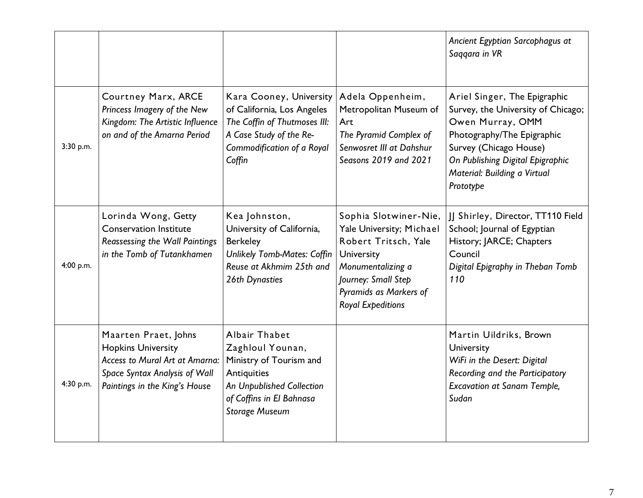|           |                                                                                                                                                       |                                                                                                                                                               |                                                                                                                                                                                           | Ancient Egyptian Sarcophagus at<br>Saggara in VR                                                                                                                                                                                |
|-----------|-------------------------------------------------------------------------------------------------------------------------------------------------------|---------------------------------------------------------------------------------------------------------------------------------------------------------------|-------------------------------------------------------------------------------------------------------------------------------------------------------------------------------------------|---------------------------------------------------------------------------------------------------------------------------------------------------------------------------------------------------------------------------------|
| 3:30 p.m. | Courtney Marx, ARCE<br>Princess Imagery of the New<br>Kingdom: The Artistic Influence<br>on and of the Amarna Period                                  | Kara Cooney, University<br>of California, Los Angeles<br>The Coffin of Thutmoses III:<br>A Case Study of the Re-<br>Commodification of a Royal<br>Coffin      | Adela Oppenheim,<br>Metropolitan Museum of<br>Art<br>The Pyramid Complex of<br>Senwosret III at Dahshur<br>Seasons 2019 and 2021                                                          | Ariel Singer, The Epigraphic<br>Survey, the University of Chicago;<br>Owen Murray, OMM<br>Photography/The Epigraphic<br>Survey (Chicago House)<br>On Publishing Digital Epigraphic<br>Material: Building a Virtual<br>Prototype |
| 4:00 p.m. | Lorinda Wong, Getty<br><b>Conservation Institute</b><br>Reassessing the Wall Paintings<br>in the Tomb of Tutankhamen                                  | Kea Johnston,<br>University of California,<br><b>Berkeley</b><br>Unlikely Tomb-Mates: Coffin<br>Reuse at Akhmim 25th and<br>26th Dynasties                    | Sophia Slotwiner-Nie,<br>Yale University; Michael<br>Robert Tritsch, Yale<br>University<br>Monumentalizing a<br>Journey: Small Step<br>Pyramids as Markers of<br><b>Royal Expeditions</b> | JJ Shirley, Director, TT110 Field<br>School; Journal of Egyptian<br>History; JARCE; Chapters<br>Council<br>Digital Epigraphy in Theban Tomb<br>110                                                                              |
| 4:30 p.m. | Maarten Praet, Johns<br><b>Hopkins University</b><br>Access to Mural Art at Amarna:<br>Space Syntax Analysis of Wall<br>Paintings in the King's House | Albair Thabet<br>Zaghloul Younan,<br>Ministry of Tourism and<br>Antiquities<br>An Unpublished Collection<br>of Coffins in El Bahnasa<br><b>Storage Museum</b> |                                                                                                                                                                                           | Martin Uildriks, Brown<br>University<br>WiFi in the Desert: Digital<br>Recording and the Participatory<br><b>Excavation at Sanam Temple,</b><br>Sudan                                                                           |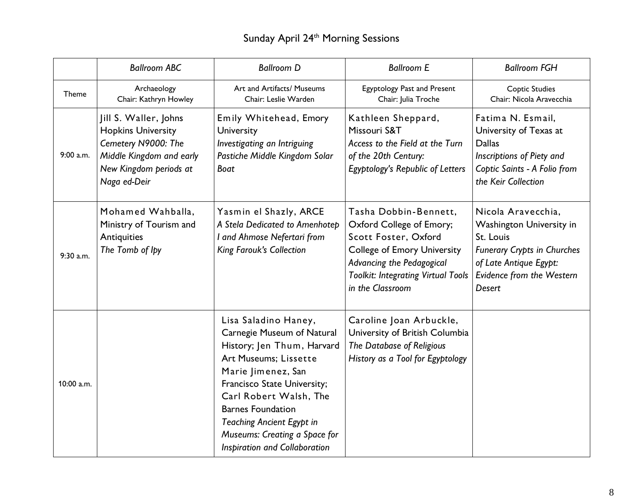# Sunday April 24<sup>th</sup> Morning Sessions

|            | <b>Ballroom ABC</b>                                                                                                                             | <b>Ballroom D</b>                                                                                                                                                                                                                                                                                                          | <b>Ballroom E</b>                                                                                                                                                                                             | <b>Ballroom FGH</b>                                                                                                                                                |
|------------|-------------------------------------------------------------------------------------------------------------------------------------------------|----------------------------------------------------------------------------------------------------------------------------------------------------------------------------------------------------------------------------------------------------------------------------------------------------------------------------|---------------------------------------------------------------------------------------------------------------------------------------------------------------------------------------------------------------|--------------------------------------------------------------------------------------------------------------------------------------------------------------------|
| Theme      | Archaeology<br>Chair: Kathryn Howley                                                                                                            | Art and Artifacts/ Museums<br>Chair: Leslie Warden                                                                                                                                                                                                                                                                         | <b>Egyptology Past and Present</b><br>Chair: Julia Troche                                                                                                                                                     | <b>Coptic Studies</b><br>Chair: Nicola Aravecchia                                                                                                                  |
| 9:00 a.m.  | Jill S. Waller, Johns<br><b>Hopkins University</b><br>Cemetery N9000: The<br>Middle Kingdom and early<br>New Kingdom periods at<br>Naga ed-Deir | Emily Whitehead, Emory<br>University<br>Investigating an Intriguing<br>Pastiche Middle Kingdom Solar<br>Boat                                                                                                                                                                                                               | Kathleen Sheppard,<br>Missouri S&T<br>Access to the Field at the Turn<br>of the 20th Century:<br><b>Egyptology's Republic of Letters</b>                                                                      | Fatima N. Esmail,<br>University of Texas at<br><b>Dallas</b><br>Inscriptions of Piety and<br>Coptic Saints - A Folio from<br>the Keir Collection                   |
| 9:30 a.m.  | Mohamed Wahballa,<br>Ministry of Tourism and<br>Antiquities<br>The Tomb of Ipy                                                                  | Yasmin el Shazly, ARCE<br>A Stela Dedicated to Amenhotep<br>I and Ahmose Nefertari from<br><b>King Farouk's Collection</b>                                                                                                                                                                                                 | Tasha Dobbin-Bennett,<br>Oxford College of Emory;<br>Scott Foster, Oxford<br><b>College of Emory University</b><br>Advancing the Pedagogical<br><b>Toolkit: Integrating Virtual Tools</b><br>in the Classroom | Nicola Aravecchia,<br>Washington University in<br>St. Louis<br><b>Funerary Crypts in Churches</b><br>of Late Antique Egypt:<br>Evidence from the Western<br>Desert |
| 10:00 a.m. |                                                                                                                                                 | Lisa Saladino Haney,<br>Carnegie Museum of Natural<br>History; Jen Thum, Harvard<br>Art Museums; Lissette<br>Marie Jimenez, San<br>Francisco State University;<br>Carl Robert Walsh, The<br><b>Barnes Foundation</b><br><b>Teaching Ancient Egypt in</b><br>Museums: Creating a Space for<br>Inspiration and Collaboration | Caroline Joan Arbuckle,<br>University of British Columbia<br>The Database of Religious<br>History as a Tool for Egyptology                                                                                    |                                                                                                                                                                    |